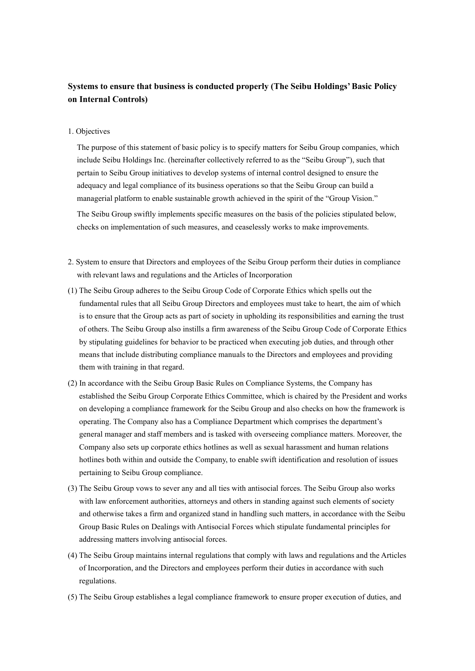## **Systems to ensure that business is conducted properly (The Seibu Holdings' Basic Policy on Internal Controls)**

1. Objectives

The purpose of this statement of basic policy is to specify matters for Seibu Group companies, which include Seibu Holdings Inc. (hereinafter collectively referred to as the "Seibu Group"), such that pertain to Seibu Group initiatives to develop systems of internal control designed to ensure the adequacy and legal compliance of its business operations so that the Seibu Group can build a managerial platform to enable sustainable growth achieved in the spirit of the "Group Vision."

The Seibu Group swiftly implements specific measures on the basis of the policies stipulated below, checks on implementation of such measures, and ceaselessly works to make improvements.

- 2. System to ensure that Directors and employees of the Seibu Group perform their duties in compliance with relevant laws and regulations and the Articles of Incorporation
- (1) The Seibu Group adheres to the Seibu Group Code of Corporate Ethics which spells out the fundamental rules that all Seibu Group Directors and employees must take to heart, the aim of which is to ensure that the Group acts as part of society in upholding its responsibilities and earning the trust of others. The Seibu Group also instills a firm awareness of the Seibu Group Code of Corporate Ethics by stipulating guidelines for behavior to be practiced when executing job duties, and through other means that include distributing compliance manuals to the Directors and employees and providing them with training in that regard.
- (2) In accordance with the Seibu Group Basic Rules on Compliance Systems, the Company has established the Seibu Group Corporate Ethics Committee, which is chaired by the President and works on developing a compliance framework for the Seibu Group and also checks on how the framework is operating. The Company also has a Compliance Department which comprises the department's general manager and staff members and is tasked with overseeing compliance matters. Moreover, the Company also sets up corporate ethics hotlines as well as sexual harassment and human relations hotlines both within and outside the Company, to enable swift identification and resolution of issues pertaining to Seibu Group compliance.
- (3) The Seibu Group vows to sever any and all ties with antisocial forces. The Seibu Group also works with law enforcement authorities, attorneys and others in standing against such elements of society and otherwise takes a firm and organized stand in handling such matters, in accordance with the Seibu Group Basic Rules on Dealings with Antisocial Forces which stipulate fundamental principles for addressing matters involving antisocial forces.
- (4) The Seibu Group maintains internal regulations that comply with laws and regulations and the Articles of Incorporation, and the Directors and employees perform their duties in accordance with such regulations.
- (5) The Seibu Group establishes a legal compliance framework to ensure proper execution of duties, and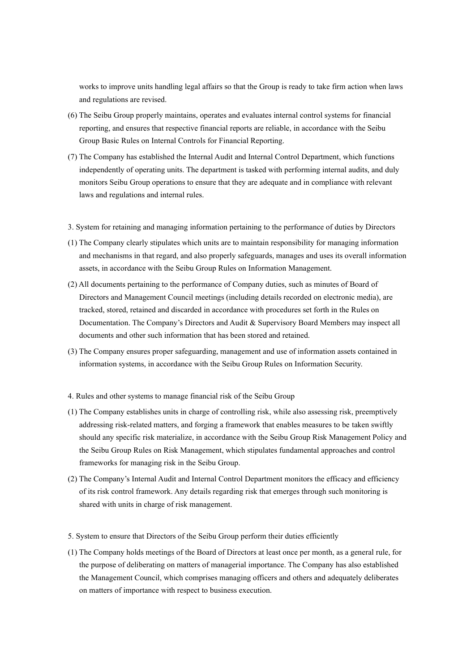works to improve units handling legal affairs so that the Group is ready to take firm action when laws and regulations are revised.

- (6) The Seibu Group properly maintains, operates and evaluates internal control systems for financial reporting, and ensures that respective financial reports are reliable, in accordance with the Seibu Group Basic Rules on Internal Controls for Financial Reporting.
- (7) The Company has established the Internal Audit and Internal Control Department, which functions independently of operating units. The department is tasked with performing internal audits, and duly monitors Seibu Group operations to ensure that they are adequate and in compliance with relevant laws and regulations and internal rules.
- 3. System for retaining and managing information pertaining to the performance of duties by Directors
- (1) The Company clearly stipulates which units are to maintain responsibility for managing information and mechanisms in that regard, and also properly safeguards, manages and uses its overall information assets, in accordance with the Seibu Group Rules on Information Management.
- (2) All documents pertaining to the performance of Company duties, such as minutes of Board of Directors and Management Council meetings (including details recorded on electronic media), are tracked, stored, retained and discarded in accordance with procedures set forth in the Rules on Documentation. The Company's Directors and Audit & Supervisory Board Members may inspect all documents and other such information that has been stored and retained.
- (3) The Company ensures proper safeguarding, management and use of information assets contained in information systems, in accordance with the Seibu Group Rules on Information Security.
- 4. Rules and other systems to manage financial risk of the Seibu Group
- (1) The Company establishes units in charge of controlling risk, while also assessing risk, preemptively addressing risk-related matters, and forging a framework that enables measures to be taken swiftly should any specific risk materialize, in accordance with the Seibu Group Risk Management Policy and the Seibu Group Rules on Risk Management, which stipulates fundamental approaches and control frameworks for managing risk in the Seibu Group.
- (2) The Company's Internal Audit and Internal Control Department monitors the efficacy and efficiency of its risk control framework. Any details regarding risk that emerges through such monitoring is shared with units in charge of risk management.
- 5. System to ensure that Directors of the Seibu Group perform their duties efficiently
- (1) The Company holds meetings of the Board of Directors at least once per month, as a general rule, for the purpose of deliberating on matters of managerial importance. The Company has also established the Management Council, which comprises managing officers and others and adequately deliberates on matters of importance with respect to business execution.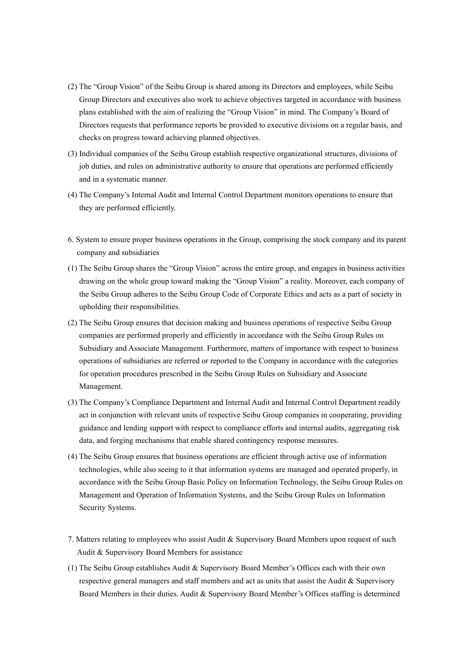- (2) The "Group Vision" of the Seibu Group is shared among its Directors and employees, while Seibu Group Directors and executives also work to achieve objectives targeted in accordance with business plans established with the aim of realizing the "Group Vision" in mind. The Company's Board of Directors requests that performance reports be provided to executive divisions on a regular basis, and checks on progress toward achieving planned objectives.
- (3) Individual companies of the Seibu Group establish respective organizational structures, divisions of job duties, and rules on administrative authority to ensure that operations are performed efficiently and in a systematic manner.
- (4) The Company's Internal Audit and Internal Control Department monitors operations to ensure that they are performed efficiently.
- 6. System to ensure proper business operations in the Group, comprising the stock company and its parent company and subsidiaries
- (1) The Seibu Group shares the "Group Vision" across the entire group, and engages in business activities drawing on the whole group toward making the "Group Vision" a reality. Moreover, each company of the Seibu Group adheres to the Seibu Group Code of Corporate Ethics and acts as a part of society in upholding their responsibilities.
- (2) The Seibu Group ensures that decision making and business operations of respective Seibu Group companies are performed properly and efficiently in accordance with the Seibu Group Rules on Subsidiary and Associate Management. Furthermore, matters of importance with respect to business operations of subsidiaries are referred or reported to the Company in accordance with the categories for operation procedures prescribed in the Seibu Group Rules on Subsidiary and Associate Management.
- (3) The Company's Compliance Department and Internal Audit and Internal Control Department readily act in conjunction with relevant units of respective Seibu Group companies in cooperating, providing guidance and lending support with respect to compliance efforts and internal audits, aggregating risk data, and forging mechanisms that enable shared contingency response measures.
- (4) The Seibu Group ensures that business operations are efficient through active use of information technologies, while also seeing to it that information systems are managed and operated properly, in accordance with the Seibu Group Basic Policy on Information Technology, the Seibu Group Rules on Management and Operation of Information Systems, and the Seibu Group Rules on Information Security Systems.
- 7. Matters relating to employees who assist Audit & Supervisory Board Members upon request of such Audit & Supervisory Board Members for assistance
- (1) The Seibu Group establishes Audit & Supervisory Board Member's Offices each with their own respective general managers and staff members and act as units that assist the Audit & Supervisory Board Members in their duties. Audit & Supervisory Board Member's Offices staffing is determined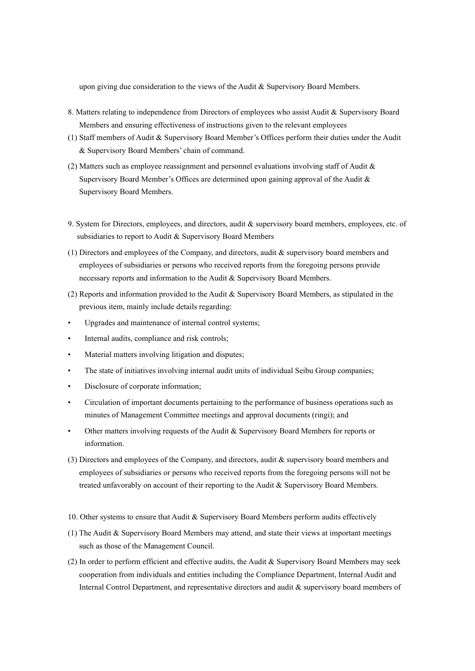upon giving due consideration to the views of the Audit & Supervisory Board Members.

- 8. Matters relating to independence from Directors of employees who assist Audit & Supervisory Board Members and ensuring effectiveness of instructions given to the relevant employees
- (1) Staff members of Audit & Supervisory Board Member's Offices perform their duties under the Audit & Supervisory Board Members' chain of command.
- (2) Matters such as employee reassignment and personnel evaluations involving staff of Audit & Supervisory Board Member's Offices are determined upon gaining approval of the Audit & Supervisory Board Members.
- 9. System for Directors, employees, and directors, audit & supervisory board members, employees, etc. of subsidiaries to report to Audit & Supervisory Board Members
- (1) Directors and employees of the Company, and directors, audit & supervisory board members and employees of subsidiaries or persons who received reports from the foregoing persons provide necessary reports and information to the Audit & Supervisory Board Members.
- (2) Reports and information provided to the Audit & Supervisory Board Members, as stipulated in the previous item, mainly include details regarding:
- Upgrades and maintenance of internal control systems;
- Internal audits, compliance and risk controls;
- Material matters involving litigation and disputes;
- The state of initiatives involving internal audit units of individual Seibu Group companies;
- Disclosure of corporate information;
- Circulation of important documents pertaining to the performance of business operations such as minutes of Management Committee meetings and approval documents (ringi); and
- Other matters involving requests of the Audit & Supervisory Board Members for reports or information.
- (3) Directors and employees of the Company, and directors, audit & supervisory board members and employees of subsidiaries or persons who received reports from the foregoing persons will not be treated unfavorably on account of their reporting to the Audit & Supervisory Board Members.
- 10. Other systems to ensure that Audit & Supervisory Board Members perform audits effectively
- (1) The Audit & Supervisory Board Members may attend, and state their views at important meetings such as those of the Management Council.
- (2) In order to perform efficient and effective audits, the Audit & Supervisory Board Members may seek cooperation from individuals and entities including the Compliance Department, Internal Audit and Internal Control Department, and representative directors and audit & supervisory board members of